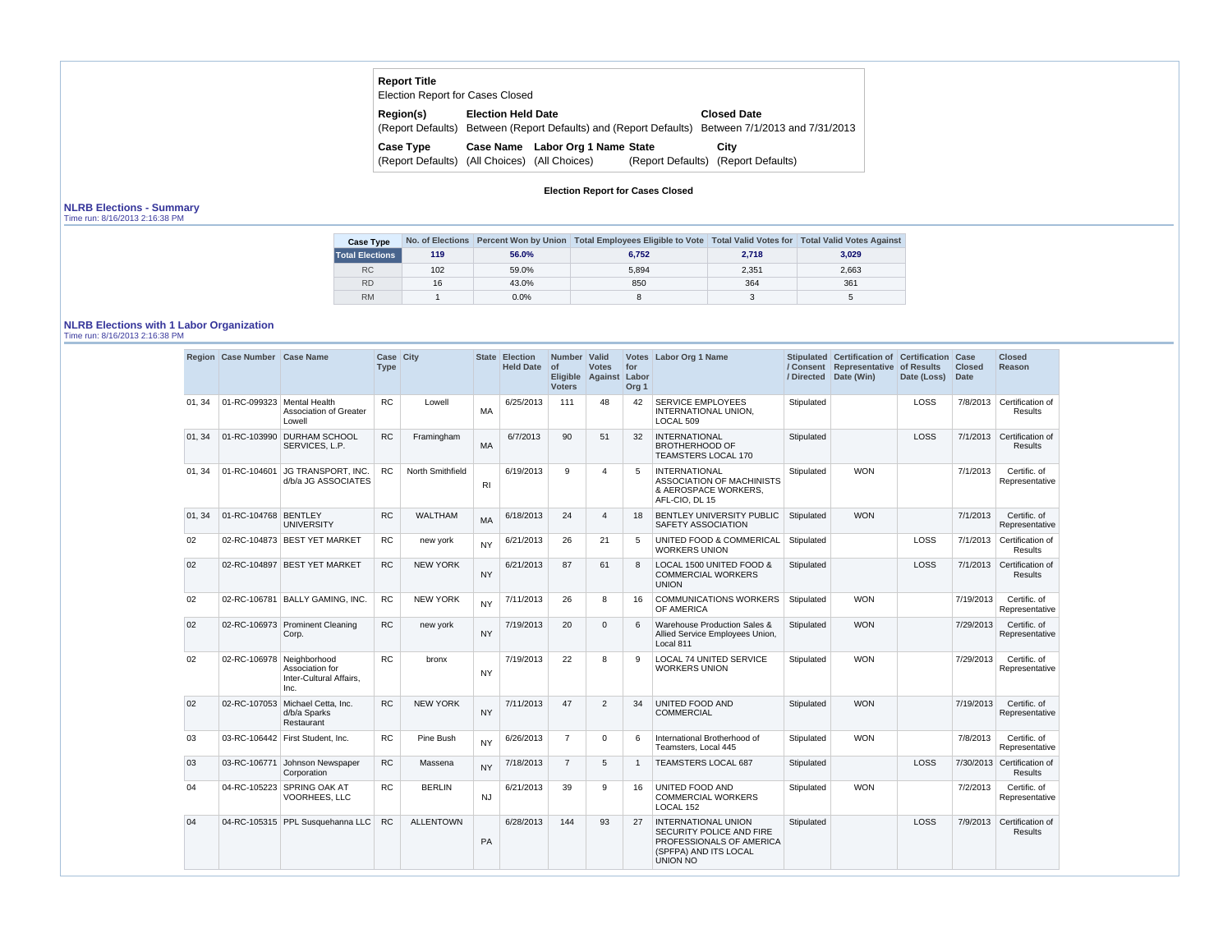| <b>Report Title</b><br>Election Report for Cases Closed |                           |                                  |                   |                                                                                                                        |
|---------------------------------------------------------|---------------------------|----------------------------------|-------------------|------------------------------------------------------------------------------------------------------------------------|
| Region(s)                                               | <b>Election Held Date</b> |                                  |                   | <b>Closed Date</b><br>(Report Defaults) Between (Report Defaults) and (Report Defaults) Between 7/1/2013 and 7/31/2013 |
| <b>Case Type</b>                                        |                           | Case Name Labor Org 1 Name State |                   | City                                                                                                                   |
| (Report Defaults) (All Choices) (All Choices)           |                           |                                  | (Report Defaults) | (Report Defaults)                                                                                                      |

# **Election Report for Cases Closed**

## **NLRB Elections - Summary**

Time run: 8/16/2013 2:16:38 PM

| <b>Case Type</b>       |     |         | No. of Elections Percent Won by Union Total Employees Eligible to Vote Total Valid Votes for Total Valid Votes Against |       |       |
|------------------------|-----|---------|------------------------------------------------------------------------------------------------------------------------|-------|-------|
| <b>Total Elections</b> | 119 | 56.0%   | 6.752                                                                                                                  | 2,718 | 3,029 |
| <b>RC</b>              | 102 | 59.0%   | 5.894                                                                                                                  | 2,351 | 2,663 |
| <b>RD</b>              | 16  | 43.0%   | 850                                                                                                                    | 364   | 361   |
| <b>RM</b>              |     | $0.0\%$ |                                                                                                                        |       |       |

# **NLRB Elections with 1 Labor Organization**

Time run: 8/16/2013 2:16:38 PM

|        | Region Case Number Case Name |                                                                | Case City<br><b>Type</b> |                  |           | State Election<br><b>Held Date</b> | Number Valid<br>$\circ$<br><b>Voters</b> | <b>Votes</b><br>Eligible Against Labor | for<br>Org <sub>1</sub> | Votes Labor Org 1 Name                                                                                                         |            | Stipulated Certification of Certification Case<br>/ Consent Representative of Results<br>/ Directed Date (Win) | Date (Loss) | <b>Closed</b><br><b>Date</b> | <b>Closed</b><br><b>Reason</b>              |
|--------|------------------------------|----------------------------------------------------------------|--------------------------|------------------|-----------|------------------------------------|------------------------------------------|----------------------------------------|-------------------------|--------------------------------------------------------------------------------------------------------------------------------|------------|----------------------------------------------------------------------------------------------------------------|-------------|------------------------------|---------------------------------------------|
| 01, 34 | 01-RC-099323 Mental Health   | Association of Greater<br>Lowell                               | <b>RC</b>                | Lowell           | MA        | 6/25/2013                          | 111                                      | 48                                     | 42                      | <b>SERVICE EMPLOYEES</b><br>INTERNATIONAL UNION,<br>LOCAL 509                                                                  | Stipulated |                                                                                                                | LOSS        |                              | 7/8/2013 Certification of<br>Results        |
| 01, 34 |                              | 01-RC-103990 DURHAM SCHOOL<br>SERVICES, L.P.                   | <b>RC</b>                | Framingham       | <b>MA</b> | 6/7/2013                           | 90                                       | 51                                     | 32                      | <b>INTERNATIONAL</b><br><b>BROTHERHOOD OF</b><br><b>TEAMSTERS LOCAL 170</b>                                                    | Stipulated |                                                                                                                | LOSS        |                              | 7/1/2013 Certification of<br><b>Results</b> |
| 01, 34 | 01-RC-104601                 | JG TRANSPORT, INC.<br>d/b/a JG ASSOCIATES                      | <b>RC</b>                | North Smithfield | RI        | 6/19/2013                          | 9                                        | $\overline{4}$                         | 5                       | <b>INTERNATIONAL</b><br><b>ASSOCIATION OF MACHINISTS</b><br>& AEROSPACE WORKERS,<br>AFL-CIO, DL 15                             | Stipulated | <b>WON</b>                                                                                                     |             | 7/1/2013                     | Certific. of<br>Representative              |
| 01, 34 | 01-RC-104768 BENTLEY         | <b>UNIVERSITY</b>                                              | <b>RC</b>                | <b>WALTHAM</b>   | <b>MA</b> | 6/18/2013                          | 24                                       | $\overline{4}$                         | 18                      | BENTLEY UNIVERSITY PUBLIC<br>SAFETY ASSOCIATION                                                                                | Stipulated | <b>WON</b>                                                                                                     |             | 7/1/2013                     | Certific. of<br>Representative              |
| 02     |                              | 02-RC-104873 BEST YET MARKET                                   | <b>RC</b>                | new york         | <b>NY</b> | 6/21/2013                          | 26                                       | 21                                     | 5                       | UNITED FOOD & COMMERICAL<br><b>WORKERS UNION</b>                                                                               | Stipulated |                                                                                                                | LOSS        | 7/1/2013                     | Certification of<br><b>Results</b>          |
| 02     |                              | 02-RC-104897 BEST YET MARKET                                   | <b>RC</b>                | <b>NEW YORK</b>  | <b>NY</b> | 6/21/2013                          | 87                                       | 61                                     | 8                       | LOCAL 1500 UNITED FOOD &<br><b>COMMERCIAL WORKERS</b><br><b>UNION</b>                                                          | Stipulated |                                                                                                                | LOSS        |                              | 7/1/2013 Certification of<br><b>Results</b> |
| 02     |                              | 02-RC-106781 BALLY GAMING, INC.                                | <b>RC</b>                | <b>NEW YORK</b>  | <b>NY</b> | 7/11/2013                          | 26                                       | 8                                      | 16                      | <b>COMMUNICATIONS WORKERS</b><br>OF AMERICA                                                                                    | Stipulated | <b>WON</b>                                                                                                     |             | 7/19/2013                    | Certific, of<br>Representative              |
| 02     |                              | 02-RC-106973 Prominent Cleaning<br>Corp.                       | <b>RC</b>                | new york         | <b>NY</b> | 7/19/2013                          | 20                                       | $\mathbf{0}$                           | 6                       | Warehouse Production Sales &<br>Allied Service Employees Union,<br>Local 811                                                   | Stipulated | <b>WON</b>                                                                                                     |             | 7/29/2013                    | Certific. of<br>Representative              |
| 02     | 02-RC-106978 Neighborhood    | Association for<br>Inter-Cultural Affairs,<br>Inc.             | <b>RC</b>                | bronx            | <b>NY</b> | 7/19/2013                          | 22                                       | 8                                      | 9                       | <b>LOCAL 74 UNITED SERVICE</b><br><b>WORKERS UNION</b>                                                                         | Stipulated | <b>WON</b>                                                                                                     |             | 7/29/2013                    | Certific. of<br>Representative              |
| 02     |                              | 02-RC-107053 Michael Cetta, Inc.<br>d/b/a Sparks<br>Restaurant | RC                       | <b>NEW YORK</b>  | <b>NY</b> | 7/11/2013                          | 47                                       | 2                                      | 34                      | <b>UNITED FOOD AND</b><br><b>COMMERCIAL</b>                                                                                    | Stipulated | <b>WON</b>                                                                                                     |             | 7/19/2013                    | Certific. of<br>Representative              |
| 03     |                              | 03-RC-106442 First Student, Inc.                               | <b>RC</b>                | Pine Bush        | <b>NY</b> | 6/26/2013                          | $\overline{7}$                           | $\mathbf 0$                            | 6                       | International Brotherhood of<br>Teamsters, Local 445                                                                           | Stipulated | <b>WON</b>                                                                                                     |             | 7/8/2013                     | Certific. of<br>Representative              |
| 03     |                              | 03-RC-106771 Johnson Newspaper<br>Corporation                  | <b>RC</b>                | Massena          | <b>NY</b> | 7/18/2013                          | $\overline{7}$                           | 5                                      | $\mathbf{1}$            | <b>TEAMSTERS LOCAL 687</b>                                                                                                     | Stipulated |                                                                                                                | LOSS        |                              | 7/30/2013 Certification of<br>Results       |
| 04     |                              | 04-RC-105223 SPRING OAK AT<br><b>VOORHEES, LLC</b>             | <b>RC</b>                | <b>BERLIN</b>    | <b>NJ</b> | 6/21/2013                          | 39                                       | 9                                      | 16                      | UNITED FOOD AND<br><b>COMMERCIAL WORKERS</b><br>LOCAL 152                                                                      | Stipulated | <b>WON</b>                                                                                                     |             | 7/2/2013                     | Certific. of<br>Representative              |
| 04     |                              | 04-RC-105315 PPL Susquehanna LLC                               | <b>RC</b>                | <b>ALLENTOWN</b> | PA        | 6/28/2013                          | 144                                      | 93                                     | 27                      | <b>INTERNATIONAL UNION</b><br>SECURITY POLICE AND FIRE<br>PROFESSIONALS OF AMERICA<br>(SPFPA) AND ITS LOCAL<br><b>UNION NO</b> | Stipulated |                                                                                                                | LOSS        |                              | 7/9/2013 Certification of<br><b>Results</b> |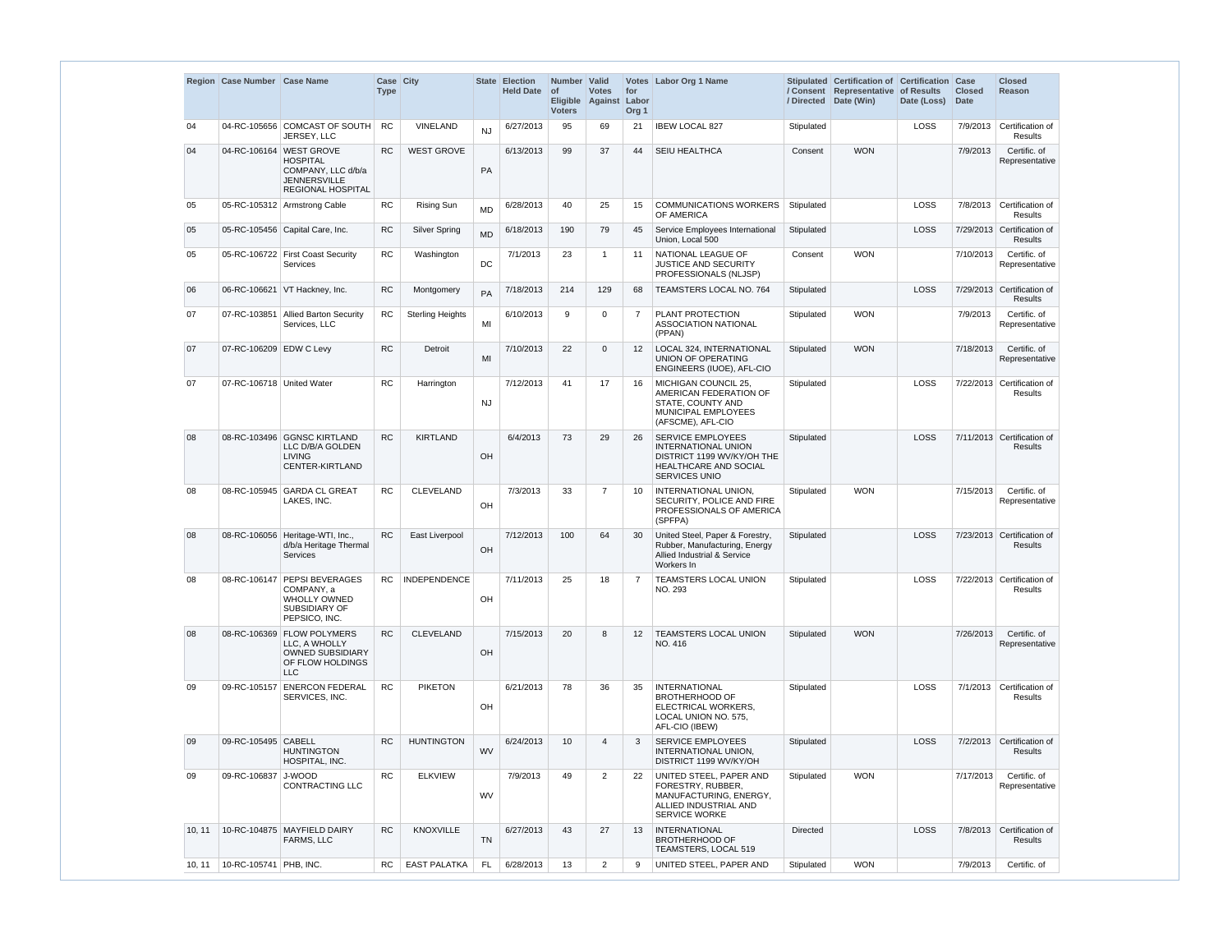|        | Region Case Number Case Name   |                                                                                                                     | Case City<br><b>Type</b> |                         |           | State Election<br><b>Held Date</b> | Number Valid<br>$\circ$ f<br><b>Voters</b> | <b>Votes</b><br>Eligible Against Labor | for<br>Org <sub>1</sub> | Votes Labor Org 1 Name                                                                                                                |                 | Stipulated Certification of Certification Case<br>/ Consent Representative of Results<br>/ Directed Date (Win) | Date (Loss) | <b>Closed</b><br><b>Date</b> | <b>Closed</b><br><b>Reason</b>               |
|--------|--------------------------------|---------------------------------------------------------------------------------------------------------------------|--------------------------|-------------------------|-----------|------------------------------------|--------------------------------------------|----------------------------------------|-------------------------|---------------------------------------------------------------------------------------------------------------------------------------|-----------------|----------------------------------------------------------------------------------------------------------------|-------------|------------------------------|----------------------------------------------|
| 04     |                                | 04-RC-105656 COMCAST OF SOUTH<br>JERSEY, LLC                                                                        | <b>RC</b>                | VINELAND                | <b>NJ</b> | 6/27/2013                          | 95                                         | 69                                     | 21                      | <b>IBEW LOCAL 827</b>                                                                                                                 | Stipulated      |                                                                                                                | LOSS        | 7/9/2013                     | Certification of<br><b>Results</b>           |
| 04     |                                | 04-RC-106164 WEST GROVE<br><b>HOSPITAL</b><br>COMPANY, LLC d/b/a<br><b>JENNERSVILLE</b><br><b>REGIONAL HOSPITAL</b> | <b>RC</b>                | <b>WEST GROVE</b>       | PA        | 6/13/2013                          | 99                                         | 37                                     | 44                      | <b>SEIU HEALTHCA</b>                                                                                                                  | Consent         | <b>WON</b>                                                                                                     |             | 7/9/2013                     | Certific. of<br>Representative               |
| 05     |                                | 05-RC-105312 Armstrong Cable                                                                                        | RC                       | <b>Rising Sun</b>       | <b>MD</b> | 6/28/2013                          | 40                                         | 25                                     | 15                      | <b>COMMUNICATIONS WORKERS</b><br>OF AMERICA                                                                                           | Stipulated      |                                                                                                                | LOSS        | 7/8/2013                     | Certification of<br><b>Results</b>           |
| 05     |                                | 05-RC-105456 Capital Care, Inc.                                                                                     | <b>RC</b>                | <b>Silver Spring</b>    | <b>MD</b> | 6/18/2013                          | 190                                        | 79                                     | 45                      | Service Employees International<br>Union, Local 500                                                                                   | Stipulated      |                                                                                                                | <b>LOSS</b> |                              | 7/29/2013 Certification of<br><b>Results</b> |
| 05     |                                | 05-RC-106722 First Coast Security<br>Services                                                                       | <b>RC</b>                | Washington              | DC        | 7/1/2013                           | 23                                         | $\mathbf{1}$                           | 11                      | NATIONAL LEAGUE OF<br>JUSTICE AND SECURITY<br>PROFESSIONALS (NLJSP)                                                                   | Consent         | <b>WON</b>                                                                                                     |             | 7/10/2013                    | Certific. of<br>Representative               |
| 06     |                                | 06-RC-106621 VT Hackney, Inc.                                                                                       | <b>RC</b>                | Montgomery              | PA        | 7/18/2013                          | 214                                        | 129                                    | 68                      | TEAMSTERS LOCAL NO. 764                                                                                                               | Stipulated      |                                                                                                                | LOSS        |                              | 7/29/2013 Certification of<br><b>Results</b> |
| 07     |                                | 07-RC-103851 Allied Barton Security<br>Services, LLC                                                                | RC.                      | <b>Sterling Heights</b> | MI        | 6/10/2013                          | 9                                          | $\mathbf 0$                            | 7                       | PLANT PROTECTION<br><b>ASSOCIATION NATIONAL</b><br>(PPAN)                                                                             | Stipulated      | <b>WON</b>                                                                                                     |             | 7/9/2013                     | Certific. of<br>Representative               |
| 07     | 07-RC-106209 EDW C Levy        |                                                                                                                     | <b>RC</b>                | Detroit                 | MI        | 7/10/2013                          | 22                                         | $\mathbf 0$                            | 12                      | <b>LOCAL 324, INTERNATIONAL</b><br><b>UNION OF OPERATING</b><br>ENGINEERS (IUOE), AFL-CIO                                             | Stipulated      | <b>WON</b>                                                                                                     |             | 7/18/2013                    | Certific. of<br>Representative               |
| 07     | 07-RC-106718 United Water      |                                                                                                                     | <b>RC</b>                | Harrington              | <b>NJ</b> | 7/12/2013                          | 41                                         | 17                                     | 16                      | MICHIGAN COUNCIL 25.<br>AMERICAN FEDERATION OF<br>STATE, COUNTY AND<br>MUNICIPAL EMPLOYEES<br>(AFSCME), AFL-CIO                       | Stipulated      |                                                                                                                | <b>LOSS</b> |                              | 7/22/2013 Certification of<br><b>Results</b> |
| 08     |                                | 08-RC-103496 GGNSC KIRTLAND<br>LLC D/B/A GOLDEN<br><b>LIVING</b><br>CENTER-KIRTLAND                                 | <b>RC</b>                | <b>KIRTLAND</b>         | OH        | 6/4/2013                           | 73                                         | 29                                     | 26                      | <b>SERVICE EMPLOYEES</b><br><b>INTERNATIONAL UNION</b><br>DISTRICT 1199 WV/KY/OH THE<br>HEALTHCARE AND SOCIAL<br><b>SERVICES UNIO</b> | Stipulated      |                                                                                                                | LOSS        |                              | 7/11/2013 Certification of<br><b>Results</b> |
| 08     | 08-RC-105945                   | <b>GARDA CL GREAT</b><br>LAKES, INC.                                                                                | <b>RC</b>                | <b>CLEVELAND</b>        | OH        | 7/3/2013                           | 33                                         | $\overline{7}$                         | 10                      | INTERNATIONAL UNION,<br>SECURITY, POLICE AND FIRE<br>PROFESSIONALS OF AMERICA<br>(SPFPA)                                              | Stipulated      | <b>WON</b>                                                                                                     |             | 7/15/2013                    | Certific. of<br>Representative               |
| 08     |                                | 08-RC-106056   Heritage-WTI, Inc.,<br>d/b/a Heritage Thermal<br><b>Services</b>                                     | <b>RC</b>                | East Liverpool          | OH        | 7/12/2013                          | 100                                        | 64                                     | 30                      | United Steel, Paper & Forestry,<br>Rubber, Manufacturing, Energy<br>Allied Industrial & Service<br>Workers In                         | Stipulated      |                                                                                                                | <b>LOSS</b> |                              | 7/23/2013 Certification of<br><b>Results</b> |
| 08     | 08-RC-106147                   | <b>PEPSI BEVERAGES</b><br>COMPANY, a<br><b>WHOLLY OWNED</b><br>SUBSIDIARY OF<br>PEPSICO, INC.                       | RC.                      | <b>INDEPENDENCE</b>     | OH        | 7/11/2013                          | 25                                         | 18                                     |                         | TEAMSTERS LOCAL UNION<br>NO. 293                                                                                                      | Stipulated      |                                                                                                                | LOSS        |                              | 7/22/2013 Certification of<br>Results        |
| 08     |                                | 08-RC-106369 FLOW POLYMERS<br>LLC. A WHOLLY<br><b>OWNED SUBSIDIARY</b><br>OF FLOW HOLDINGS<br><b>LLC</b>            | <b>RC</b>                | <b>CLEVELAND</b>        | OH        | 7/15/2013                          | 20                                         | 8                                      | $12 \overline{ }$       | <b>TEAMSTERS LOCAL UNION</b><br>NO. 416                                                                                               | Stipulated      | <b>WON</b>                                                                                                     |             | 7/26/2013                    | Certific, of<br>Representative               |
| 09     |                                | 09-RC-105157 ENERCON FEDERAL<br>SERVICES, INC.                                                                      | <b>RC</b>                | <b>PIKETON</b>          | OH        | 6/21/2013                          | 78                                         | 36                                     | 35                      | INTERNATIONAL<br><b>BROTHERHOOD OF</b><br>ELECTRICAL WORKERS,<br>LOCAL UNION NO. 575,<br>AFL-CIO (IBEW)                               | Stipulated      |                                                                                                                | LOSS        |                              | 7/1/2013 Certification of<br>Results         |
| 09     | 09-RC-105495 CABELL            | <b>HUNTINGTON</b><br>HOSPITAL, INC.                                                                                 | RC.                      | <b>HUNTINGTON</b>       | <b>WV</b> | 6/24/2013                          | 10                                         | 4                                      |                         | <b>SERVICE EMPLOYEES</b><br>INTERNATIONAL UNION,<br>DISTRICT 1199 WV/KY/OH                                                            | Stipulated      |                                                                                                                | LOSS        |                              | 7/2/2013 Certification of<br>Results         |
| 09     | 09-RC-106837 J-WOOD            | <b>CONTRACTING LLC</b>                                                                                              | RC.                      | <b>ELKVIEW</b>          | <b>WV</b> | 7/9/2013                           | 49                                         | $\overline{2}$                         | 22                      | UNITED STEEL, PAPER AND<br>FORESTRY, RUBBER,<br>MANUFACTURING, ENERGY,<br>ALLIED INDUSTRIAL AND<br><b>SERVICE WORKE</b>               | Stipulated      | <b>WON</b>                                                                                                     |             | 7/17/2013                    | Certific, of<br>Representative               |
| 10, 11 |                                | 10-RC-104875 MAYFIELD DAIRY<br><b>FARMS, LLC</b>                                                                    | <b>RC</b>                | KNOXVILLE               | <b>TN</b> | 6/27/2013                          | 43                                         | 27                                     | 13                      | <b>INTERNATIONAL</b><br><b>BROTHERHOOD OF</b><br>TEAMSTERS, LOCAL 519                                                                 | <b>Directed</b> |                                                                                                                | LOSS        |                              | 7/8/2013 Certification of<br>Results         |
| 10, 11 | $\vert$ 10-RC-105741 PHB, INC. |                                                                                                                     | RC.                      | EAST PALATKA            | <b>FL</b> | 6/28/2013                          | 13                                         | $\overline{2}$                         | 9                       | UNITED STEEL, PAPER AND                                                                                                               | Stipulated      | <b>WON</b>                                                                                                     |             | 7/9/2013                     | Certific. of                                 |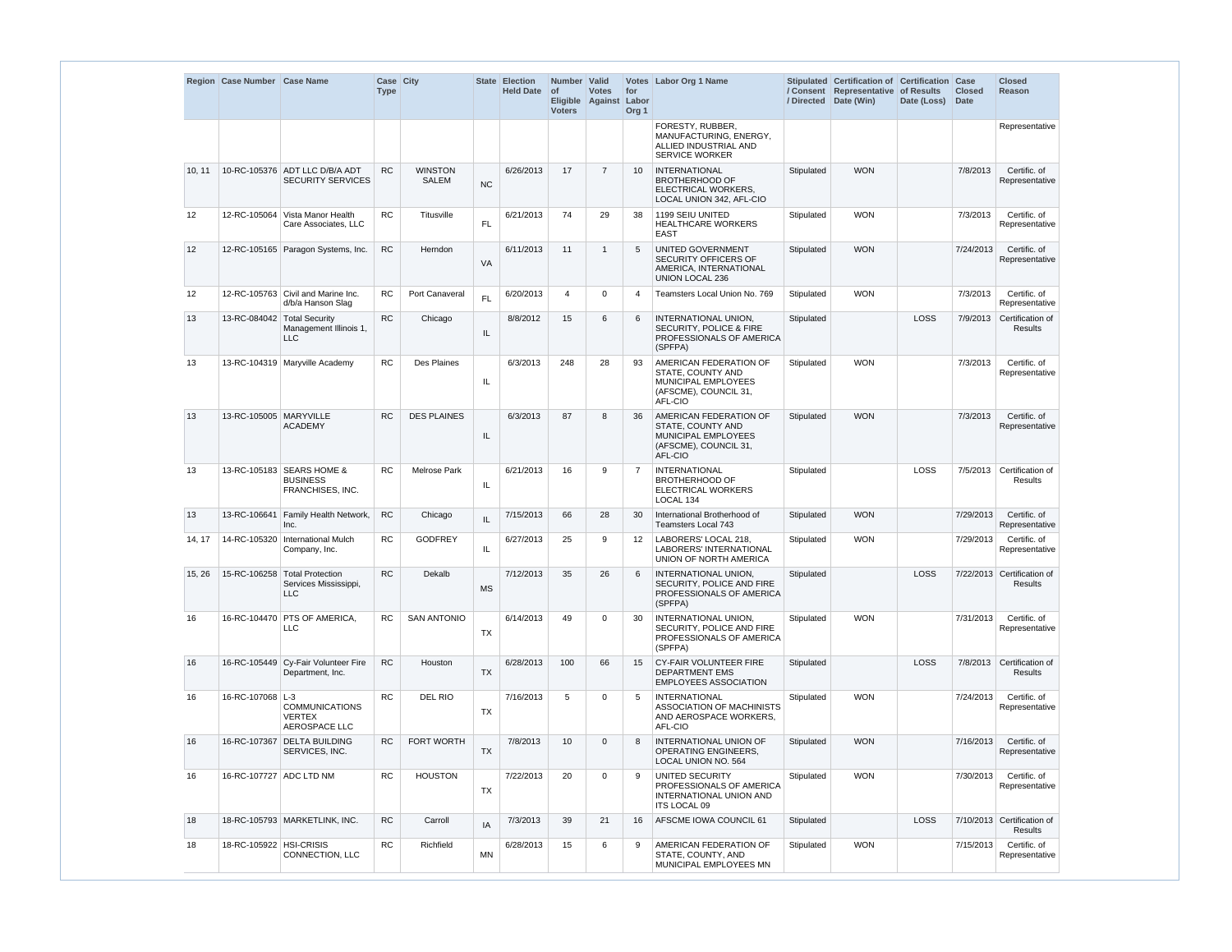|                 | Region Case Number Case Name |                                                                      | Case City<br><b>Type</b> |                                |           | State Election<br><b>Held Date</b> | Number Valid<br>$\circ$ f<br><b>Voters</b> | <b>Votes</b><br>Eligible Against Labor | for<br>Org <sub>1</sub> | Votes Labor Org 1 Name                                                                                        |            | Stipulated Certification of Certification Case<br>/ Consent Representative of Results<br>/ Directed Date (Win) | Date (Loss) | <b>Closed</b><br>Date | <b>Closed</b><br><b>Reason</b>               |
|-----------------|------------------------------|----------------------------------------------------------------------|--------------------------|--------------------------------|-----------|------------------------------------|--------------------------------------------|----------------------------------------|-------------------------|---------------------------------------------------------------------------------------------------------------|------------|----------------------------------------------------------------------------------------------------------------|-------------|-----------------------|----------------------------------------------|
|                 |                              |                                                                      |                          |                                |           |                                    |                                            |                                        |                         | FORESTY, RUBBER,<br>MANUFACTURING, ENERGY,<br>ALLIED INDUSTRIAL AND<br><b>SERVICE WORKER</b>                  |            |                                                                                                                |             |                       | Representative                               |
| 10, 11          |                              | 10-RC-105376 ADT LLC D/B/A ADT<br><b>SECURITY SERVICES</b>           | <b>RC</b>                | <b>WINSTON</b><br><b>SALEM</b> | <b>NC</b> | 6/26/2013                          | 17                                         | $\overline{7}$                         | 10                      | <b>INTERNATIONAL</b><br><b>BROTHERHOOD OF</b><br>ELECTRICAL WORKERS,<br>LOCAL UNION 342, AFL-CIO              | Stipulated | <b>WON</b>                                                                                                     |             | 7/8/2013              | Certific. of<br>Representative               |
| 12              |                              | 12-RC-105064 Vista Manor Health<br>Care Associates, LLC              | RC                       | Titusville                     | <b>FL</b> | 6/21/2013                          | 74                                         | 29                                     | 38                      | 1199 SEIU UNITED<br>HEALTHCARE WORKERS<br><b>EAST</b>                                                         | Stipulated | <b>WON</b>                                                                                                     |             | 7/3/2013              | Certific. of<br>Representative               |
| 12 <sup>°</sup> |                              | 12-RC-105165 Paragon Systems, Inc.                                   | <b>RC</b>                | Herndon                        | <b>VA</b> | 6/11/2013                          | 11                                         | $\mathbf{1}$                           |                         | UNITED GOVERNMENT<br><b>SECURITY OFFICERS OF</b><br>AMERICA, INTERNATIONAL<br><b>UNION LOCAL 236</b>          | Stipulated | <b>WON</b>                                                                                                     |             | 7/24/2013             | Certific. of<br>Representative               |
| 12              |                              | 12-RC-105763 Civil and Marine Inc.<br>d/b/a Hanson Slag              | <b>RC</b>                | Port Canaveral                 | <b>FL</b> | 6/20/2013                          | 4                                          | 0                                      |                         | Teamsters Local Union No. 769                                                                                 | Stipulated | <b>WON</b>                                                                                                     |             | 7/3/2013              | Certific. of<br>Representative               |
| 13              | 13-RC-084042 Total Security  | Management Illinois 1,<br><b>LLC</b>                                 | <b>RC</b>                | Chicago                        | IL        | 8/8/2012                           | 15                                         | 6                                      | 6                       | INTERNATIONAL UNION.<br><b>SECURITY, POLICE &amp; FIRE</b><br>PROFESSIONALS OF AMERICA<br>(SPFPA)             | Stipulated |                                                                                                                | <b>LOSS</b> | 7/9/2013              | Certification of<br><b>Results</b>           |
| 13              |                              | 13-RC-104319 Maryville Academy                                       | <b>RC</b>                | <b>Des Plaines</b>             | IL        | 6/3/2013                           | 248                                        | 28                                     | 93                      | AMERICAN FEDERATION OF<br><b>STATE, COUNTY AND</b><br>MUNICIPAL EMPLOYEES<br>(AFSCME), COUNCIL 31,<br>AFL-CIO | Stipulated | <b>WON</b>                                                                                                     |             | 7/3/2013              | Certific. of<br>Representative               |
| 13              | 13-RC-105005 MARYVILLE       | <b>ACADEMY</b>                                                       | <b>RC</b>                | <b>DES PLAINES</b>             | IL        | 6/3/2013                           | 87                                         | 8                                      | 36                      | AMERICAN FEDERATION OF<br>STATE, COUNTY AND<br>MUNICIPAL EMPLOYEES<br>(AFSCME), COUNCIL 31,<br>AFL-CIO        | Stipulated | <b>WON</b>                                                                                                     |             | 7/3/2013              | Certific. of<br>Representative               |
| 13              |                              | 13-RC-105183 SEARS HOME &<br><b>BUSINESS</b><br>FRANCHISES, INC.     | <b>RC</b>                | <b>Melrose Park</b>            | IL        | 6/21/2013                          | 16                                         | 9                                      |                         | <b>INTERNATIONAL</b><br><b>BROTHERHOOD OF</b><br><b>ELECTRICAL WORKERS</b><br>LOCAL 134                       | Stipulated |                                                                                                                | LOSS        | 7/5/2013              | Certification of<br>Results                  |
| 13              | 13-RC-106641                 | Family Health Network,<br>Inc.                                       | <b>RC</b>                | Chicago                        | IL        | 7/15/2013                          | 66                                         | 28                                     | 30                      | International Brotherhood of<br>Teamsters Local 743                                                           | Stipulated | <b>WON</b>                                                                                                     |             | 7/29/2013             | Certific. of<br>Representative               |
| 14, 17          |                              | 14-RC-105320 International Mulch<br>Company, Inc.                    | <b>RC</b>                | <b>GODFREY</b>                 | IL        | 6/27/2013                          | 25                                         | 9                                      | 12                      | LABORERS' LOCAL 218,<br>LABORERS' INTERNATIONAL<br>UNION OF NORTH AMERICA                                     | Stipulated | <b>WON</b>                                                                                                     |             | 7/29/2013             | Certific. of<br>Representative               |
| 15, 26          |                              | 15-RC-106258 Total Protection<br>Services Mississippi,<br><b>LLC</b> | <b>RC</b>                | Dekalb                         | <b>MS</b> | 7/12/2013                          | 35                                         | 26                                     | 6                       | INTERNATIONAL UNION,<br>SECURITY, POLICE AND FIRE<br>PROFESSIONALS OF AMERICA<br>(SPFPA)                      | Stipulated |                                                                                                                | LOSS        |                       | 7/22/2013 Certification of<br><b>Results</b> |
| 16              | 16-RC-104470                 | <b>PTS OF AMERICA,</b><br>LLC                                        | <b>RC</b>                | <b>SAN ANTONIO</b>             | TX        | 6/14/2013                          | 49                                         | $\mathbf 0$                            | 30                      | INTERNATIONAL UNION,<br>SECURITY, POLICE AND FIRE<br>PROFESSIONALS OF AMERICA<br>(SPFPA)                      | Stipulated | <b>WON</b>                                                                                                     |             | 7/31/2013             | Certific. of<br>Representative               |
| 16              |                              | 16-RC-105449 Cy-Fair Volunteer Fire<br>Department, Inc.              | <b>RC</b>                | Houston                        | <b>TX</b> | 6/28/2013                          | 100                                        | 66                                     | 15                      | <b>CY-FAIR VOLUNTEER FIRE</b><br>DEPARTMENT EMS<br><b>EMPLOYEES ASSOCIATION</b>                               | Stipulated |                                                                                                                | LOSS        |                       | 7/8/2013 Certification of<br><b>Results</b>  |
| 16              | 16-RC-107068 L-3             | <b>COMMUNICATIONS</b><br><b>VERTEX</b><br>AEROSPACE LLC              | <b>RC</b>                | <b>DEL RIO</b>                 | TX        | 7/16/2013                          | 5                                          | 0                                      | 5                       | <b>INTERNATIONAL</b><br><b>ASSOCIATION OF MACHINISTS</b><br>AND AEROSPACE WORKERS,<br>AFL-CIO                 | Stipulated | <b>WON</b>                                                                                                     |             | 7/24/2013             | Certific. of<br>Representative               |
| 16              |                              | 16-RC-107367 DELTA BUILDING<br>SERVICES, INC.                        | <b>RC</b>                | FORT WORTH                     | <b>TX</b> | 7/8/2013                           | 10 <sup>1</sup>                            | $\mathbf 0$                            |                         | INTERNATIONAL UNION OF<br><b>OPERATING ENGINEERS.</b><br>LOCAL UNION NO. 564                                  | Stipulated | <b>WON</b>                                                                                                     |             | 7/16/2013             | Certific. of<br>Representative               |
| 16              | 16-RC-107727 ADC LTD NM      |                                                                      | <b>RC</b>                | <b>HOUSTON</b>                 | TX        | 7/22/2013                          | 20                                         | 0                                      |                         | <b>UNITED SECURITY</b><br>PROFESSIONALS OF AMERICA<br>INTERNATIONAL UNION AND<br>ITS LOCAL 09                 | Stipulated | <b>WON</b>                                                                                                     |             | 7/30/2013             | Certific. of<br>Representative               |
| 18              |                              | 18-RC-105793 MARKETLINK, INC.                                        | <b>RC</b>                | Carroll                        | IA        | 7/3/2013                           | 39                                         | 21                                     | 16                      | AFSCME IOWA COUNCIL 61                                                                                        | Stipulated |                                                                                                                | LOSS        |                       | 7/10/2013 Certification of<br>Results        |
| 18              | 18-RC-105922 HSI-CRISIS      | CONNECTION, LLC                                                      | <b>RC</b>                | Richfield                      | MN        | 6/28/2013                          | 15                                         | 6                                      | 9                       | AMERICAN FEDERATION OF<br>STATE, COUNTY, AND<br>MUNICIPAL EMPLOYEES MN                                        | Stipulated | <b>WON</b>                                                                                                     |             | 7/15/2013             | Certific. of<br>Representative               |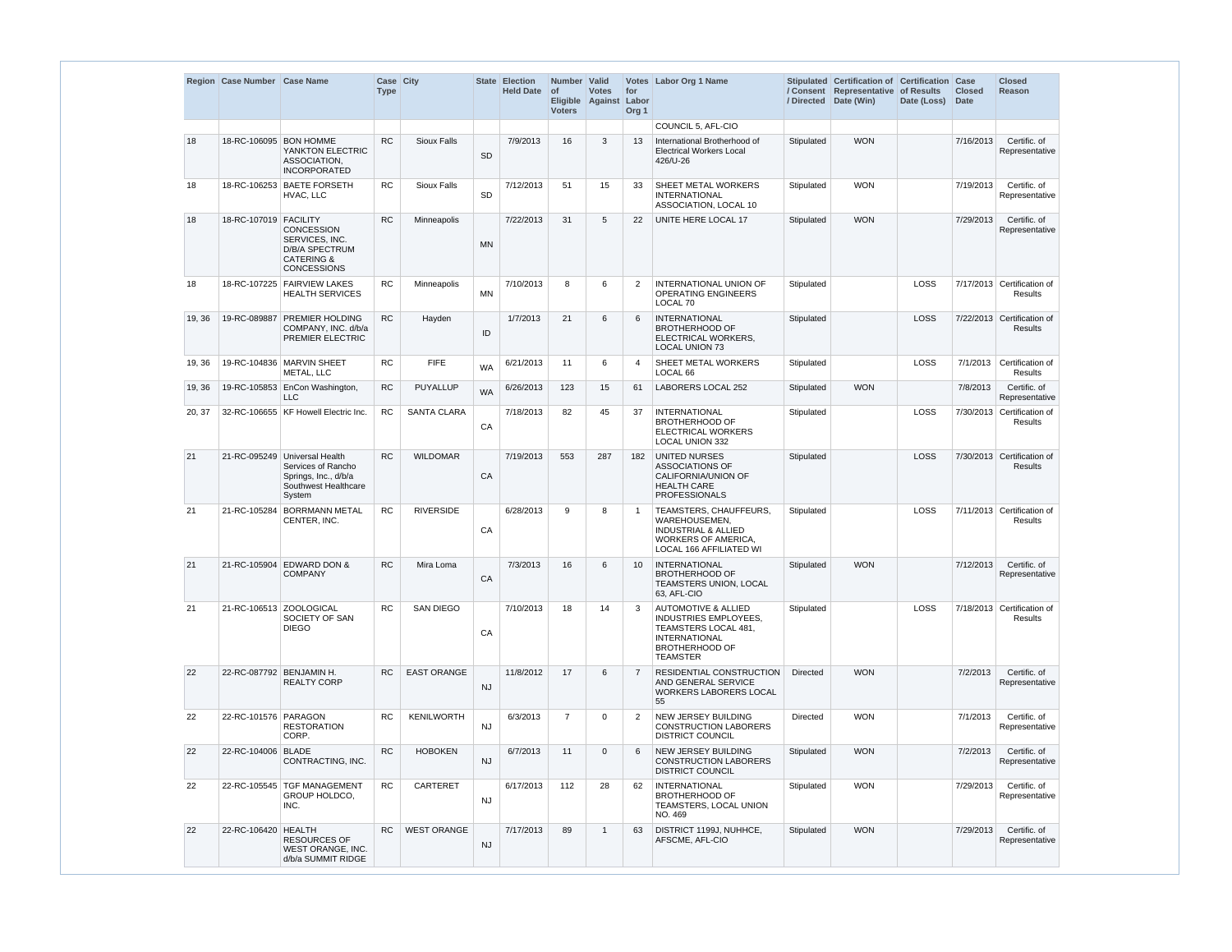|        | Region Case Number Case Name |                                                                                                               | Case City<br><b>Type</b> |                    |           | State Election<br><b>Held Date</b> | Number Valid<br>$\circ$ f<br><b>Voters</b> | <b>Votes</b><br>Eligible Against Labor | for<br>Org <sub>1</sub> | Votes Labor Org 1 Name                                                                                                                              |                 | Stipulated Certification of Certification Case<br>/ Consent Representative of Results<br>/ Directed Date (Win) | Date (Loss) | <b>Closed</b><br>Date | <b>Closed</b><br><b>Reason</b>               |
|--------|------------------------------|---------------------------------------------------------------------------------------------------------------|--------------------------|--------------------|-----------|------------------------------------|--------------------------------------------|----------------------------------------|-------------------------|-----------------------------------------------------------------------------------------------------------------------------------------------------|-----------------|----------------------------------------------------------------------------------------------------------------|-------------|-----------------------|----------------------------------------------|
|        |                              |                                                                                                               |                          |                    |           |                                    |                                            |                                        |                         | COUNCIL 5, AFL-CIO                                                                                                                                  |                 |                                                                                                                |             |                       |                                              |
| 18     | 18-RC-106095 BON HOMME       | YANKTON ELECTRIC<br>ASSOCIATION.<br><b>INCORPORATED</b>                                                       | <b>RC</b>                | <b>Sioux Falls</b> | <b>SD</b> | 7/9/2013                           | 16                                         | 3                                      | 13                      | International Brotherhood of<br><b>Electrical Workers Local</b><br>426/U-26                                                                         | Stipulated      | <b>WON</b>                                                                                                     |             | 7/16/2013             | Certific, of<br>Representative               |
| 18     |                              | 18-RC-106253 BAETE FORSETH<br>HVAC, LLC                                                                       | <b>RC</b>                | <b>Sioux Falls</b> | SD        | 7/12/2013                          | 51                                         | 15                                     | 33                      | SHEET METAL WORKERS<br><b>INTERNATIONAL</b><br>ASSOCIATION, LOCAL 10                                                                                | Stipulated      | <b>WON</b>                                                                                                     |             | 7/19/2013             | Certific. of<br>Representative               |
| 18     | 18-RC-107019 FACILITY        | <b>CONCESSION</b><br>SERVICES, INC.<br><b>D/B/A SPECTRUM</b><br><b>CATERING &amp;</b><br><b>CONCESSIONS</b>   | <b>RC</b>                | Minneapolis        | <b>MN</b> | 7/22/2013                          | 31                                         | 5                                      | 22                      | UNITE HERE LOCAL 17                                                                                                                                 | Stipulated      | <b>WON</b>                                                                                                     |             | 7/29/2013             | Certific. of<br>Representative               |
| 18     | 18-RC-107225                 | <b>FAIRVIEW LAKES</b><br><b>HEALTH SERVICES</b>                                                               | <b>RC</b>                | Minneapolis        | <b>MN</b> | 7/10/2013                          | 8                                          | 6                                      | 2                       | <b>INTERNATIONAL UNION OF</b><br><b>OPERATING ENGINEERS</b><br>LOCAL 70                                                                             | Stipulated      |                                                                                                                | <b>LOSS</b> |                       | 7/17/2013 Certification of<br><b>Results</b> |
| 19, 36 | 19-RC-089887                 | <b>PREMIER HOLDING</b><br>COMPANY, INC. d/b/a<br>PREMIER ELECTRIC                                             | <b>RC</b>                | Hayden             | ID        | 1/7/2013                           | 21                                         | 6                                      | 6                       | <b>INTERNATIONAL</b><br><b>BROTHERHOOD OF</b><br>ELECTRICAL WORKERS,<br><b>LOCAL UNION 73</b>                                                       | Stipulated      |                                                                                                                | <b>LOSS</b> |                       | 7/22/2013 Certification of<br><b>Results</b> |
| 19, 36 |                              | 19-RC-104836 MARVIN SHEET<br>METAL, LLC                                                                       | <b>RC</b>                | <b>FIFE</b>        | <b>WA</b> | 6/21/2013                          | 11                                         | 6                                      | 4                       | SHEET METAL WORKERS<br>LOCAL <sub>66</sub>                                                                                                          | Stipulated      |                                                                                                                | <b>LOSS</b> | 7/1/2013              | Certification of<br><b>Results</b>           |
| 19, 36 |                              | 19-RC-105853 EnCon Washington,<br><b>LLC</b>                                                                  | <b>RC</b>                | <b>PUYALLUP</b>    | <b>WA</b> | 6/26/2013                          | 123                                        | 15                                     | 61                      | LABORERS LOCAL 252                                                                                                                                  | Stipulated      | <b>WON</b>                                                                                                     |             | 7/8/2013              | Certific. of<br>Representative               |
| 20, 37 |                              | 32-RC-106655 KF Howell Electric Inc.                                                                          | <b>RC</b>                | <b>SANTA CLARA</b> | CA        | 7/18/2013                          | 82                                         | 45                                     | 37                      | <b>INTERNATIONAL</b><br><b>BROTHERHOOD OF</b><br><b>ELECTRICAL WORKERS</b><br><b>LOCAL UNION 332</b>                                                | Stipulated      |                                                                                                                | LOSS        |                       | 7/30/2013 Certification of<br><b>Results</b> |
| 21     |                              | 21-RC-095249 Universal Health<br>Services of Rancho<br>Springs, Inc., d/b/a<br>Southwest Healthcare<br>System | <b>RC</b>                | <b>WILDOMAR</b>    | CA        | 7/19/2013                          | 553                                        | 287                                    | 182                     | <b>UNITED NURSES</b><br><b>ASSOCIATIONS OF</b><br>CALIFORNIA/UNION OF<br><b>HEALTH CARE</b><br><b>PROFESSIONALS</b>                                 | Stipulated      |                                                                                                                | <b>LOSS</b> |                       | 7/30/2013 Certification of<br><b>Results</b> |
| 21     | 21-RC-105284                 | <b>BORRMANN METAL</b><br>CENTER, INC.                                                                         | <b>RC</b>                | <b>RIVERSIDE</b>   | CA        | 6/28/2013                          | 9                                          | 8                                      | -1                      | TEAMSTERS, CHAUFFEURS,<br>WAREHOUSEMEN,<br><b>INDUSTRIAL &amp; ALLIED</b><br>WORKERS OF AMERICA,<br>LOCAL 166 AFFILIATED WI                         | Stipulated      |                                                                                                                | LOSS        |                       | 7/11/2013 Certification of<br>Results        |
| 21     |                              | 21-RC-105904 EDWARD DON &<br><b>COMPANY</b>                                                                   | <b>RC</b>                | Mira Loma          | CA        | 7/3/2013                           | 16                                         | 6                                      | 10 <sup>°</sup>         | <b>INTERNATIONAL</b><br><b>BROTHERHOOD OF</b><br><b>TEAMSTERS UNION, LOCAL</b><br>63, AFL-CIO                                                       | Stipulated      | <b>WON</b>                                                                                                     |             | 7/12/2013             | Certific. of<br>Representative               |
| 21     | 21-RC-106513 ZOOLOGICAL      | SOCIETY OF SAN<br><b>DIEGO</b>                                                                                | <b>RC</b>                | <b>SAN DIEGO</b>   | CA        | 7/10/2013                          | 18                                         | 14                                     | 3                       | <b>AUTOMOTIVE &amp; ALLIED</b><br>INDUSTRIES EMPLOYEES,<br>TEAMSTERS LOCAL 481,<br><b>INTERNATIONAL</b><br><b>BROTHERHOOD OF</b><br><b>TEAMSTER</b> | Stipulated      |                                                                                                                | LOSS        |                       | 7/18/2013 Certification of<br><b>Results</b> |
| 22     | 22-RC-087792 BENJAMIN H.     | <b>REALTY CORP</b>                                                                                            | RC                       | <b>EAST ORANGE</b> | <b>NJ</b> | 11/8/2012                          | 17                                         | 6                                      | 7                       | <b>RESIDENTIAL CONSTRUCTION</b><br>AND GENERAL SERVICE<br><b>WORKERS LABORERS LOCAL</b><br>55                                                       | <b>Directed</b> | <b>WON</b>                                                                                                     |             | 7/2/2013              | Certific. of<br>Representative               |
| 22     | 22-RC-101576 PARAGON         | <b>RESTORATION</b><br>CORP.                                                                                   | <b>RC</b>                | <b>KENILWORTH</b>  | <b>NJ</b> | 6/3/2013                           | $\overline{7}$                             | $\mathbf 0$                            | 2                       | NEW JERSEY BUILDING<br><b>CONSTRUCTION LABORERS</b><br>DISTRICT COUNCIL                                                                             | <b>Directed</b> | <b>WON</b>                                                                                                     |             | 7/1/2013              | Certific. of<br>Representative               |
| 22     | 22-RC-104006 BLADE           | CONTRACTING, INC.                                                                                             | <b>RC</b>                | <b>HOBOKEN</b>     | <b>NJ</b> | 6/7/2013                           | 11                                         | $\mathbf{0}$                           | 6                       | <b>NEW JERSEY BUILDING</b><br><b>CONSTRUCTION LABORERS</b><br><b>DISTRICT COUNCIL</b>                                                               | Stipulated      | <b>WON</b>                                                                                                     |             | 7/2/2013              | Certific. of<br>Representative               |
| 22     |                              | 22-RC-105545   TGF MANAGEMENT<br><b>GROUP HOLDCO,</b><br>INC.                                                 | <b>RC</b>                | <b>CARTERET</b>    | <b>NJ</b> | 6/17/2013                          | 112                                        | 28                                     | 62                      | <b>INTERNATIONAL</b><br><b>BROTHERHOOD OF</b><br>TEAMSTERS, LOCAL UNION<br>NO. 469                                                                  | Stipulated      | <b>WON</b>                                                                                                     |             | 7/29/2013             | Certific. of<br>Representative               |
| 22     | 22-RC-106420 HEALTH          | <b>RESOURCES OF</b><br><b>WEST ORANGE, INC.</b><br>d/b/a SUMMIT RIDGE                                         | RC                       | <b>WEST ORANGE</b> | <b>NJ</b> | 7/17/2013                          | 89                                         | $\mathbf{1}$                           | 63                      | DISTRICT 1199J, NUHHCE,<br>AFSCME, AFL-CIO                                                                                                          | Stipulated      | <b>WON</b>                                                                                                     |             | 7/29/2013             | Certific. of<br>Representative               |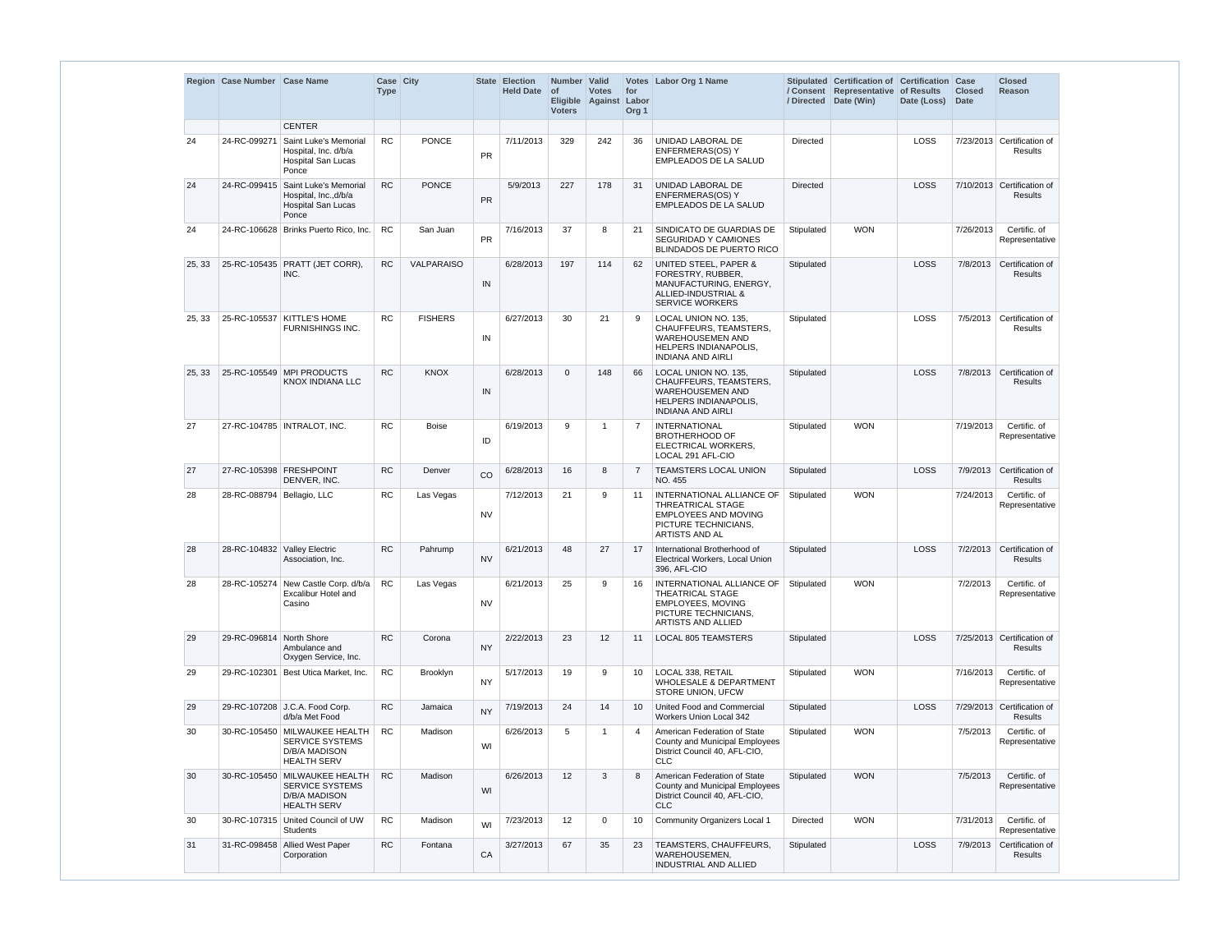|        | Region Case Number Case Name |                                                                                                | Case City<br><b>Type</b> |                   |           | State Election<br><b>Held Date</b> | Number Valid<br>$\circ$ f<br><b>Voters</b> | <b>Votes</b><br>Eligible Against Labor | for<br>Org <sub>1</sub> | Votes Labor Org 1 Name                                                                                                                |                 | Stipulated Certification of Certification Case<br>/ Consent Representative of Results<br>/ Directed Date (Win) | Date (Loss) | <b>Closed</b><br><b>Date</b> | <b>Closed</b><br>Reason                      |
|--------|------------------------------|------------------------------------------------------------------------------------------------|--------------------------|-------------------|-----------|------------------------------------|--------------------------------------------|----------------------------------------|-------------------------|---------------------------------------------------------------------------------------------------------------------------------------|-----------------|----------------------------------------------------------------------------------------------------------------|-------------|------------------------------|----------------------------------------------|
|        |                              | <b>CENTER</b>                                                                                  |                          |                   |           |                                    |                                            |                                        |                         |                                                                                                                                       |                 |                                                                                                                |             |                              |                                              |
| 24     | 24-RC-099271                 | Saint Luke's Memorial<br>Hospital, Inc. d/b/a<br><b>Hospital San Lucas</b><br>Ponce            | <b>RC</b>                | <b>PONCE</b>      | PR        | 7/11/2013                          | 329                                        | 242                                    | 36                      | UNIDAD LABORAL DE<br>ENFERMERAS(OS) Y<br>EMPLEADOS DE LA SALUD                                                                        | <b>Directed</b> |                                                                                                                | <b>LOSS</b> |                              | 7/23/2013 Certification of<br>Results        |
| 24     | 24-RC-099415                 | Saint Luke's Memorial<br>Hospital, Inc., d/b/a<br>Hospital San Lucas<br>Ponce                  | <b>RC</b>                | <b>PONCE</b>      | PR        | 5/9/2013                           | 227                                        | 178                                    | 31                      | UNIDAD LABORAL DE<br>ENFERMERAS(OS) Y<br><b>EMPLEADOS DE LA SALUD</b>                                                                 | <b>Directed</b> |                                                                                                                | LOSS        |                              | 7/10/2013 Certification of<br><b>Results</b> |
| 24     |                              | 24-RC-106628   Brinks Puerto Rico, Inc.                                                        | <b>RC</b>                | San Juan          | <b>PR</b> | 7/16/2013                          | 37                                         | 8                                      | 21                      | SINDICATO DE GUARDIAS DE<br><b>SEGURIDAD Y CAMIONES</b><br>BLINDADOS DE PUERTO RICO                                                   | Stipulated      | <b>WON</b>                                                                                                     |             | 7/26/2013                    | Certific, of<br>Representative               |
| 25, 33 |                              | 25-RC-105435   PRATT (JET CORR),<br>INC.                                                       | <b>RC</b>                | <b>VALPARAISO</b> | IN        | 6/28/2013                          | 197                                        | 114                                    | 62                      | UNITED STEEL, PAPER &<br>FORESTRY, RUBBER,<br>MANUFACTURING, ENERGY,<br>ALLIED-INDUSTRIAL &<br><b>SERVICE WORKERS</b>                 | Stipulated      |                                                                                                                | LOSS        |                              | 7/8/2013 Certification of<br><b>Results</b>  |
| 25, 33 |                              | 25-RC-105537 KITTLE'S HOME<br>FURNISHINGS INC.                                                 | <b>RC</b>                | <b>FISHERS</b>    | IN        | 6/27/2013                          | 30                                         | 21                                     | <b>q</b>                | LOCAL UNION NO. 135,<br>CHAUFFEURS, TEAMSTERS,<br><b>WAREHOUSEMEN AND</b><br><b>HELPERS INDIANAPOLIS.</b><br><b>INDIANA AND AIRLI</b> | Stipulated      |                                                                                                                | LOSS        |                              | 7/5/2013 Certification of<br>Results         |
| 25, 33 |                              | 25-RC-105549 MPI PRODUCTS<br>KNOX INDIANA LLC                                                  | <b>RC</b>                | <b>KNOX</b>       | IN        | 6/28/2013                          | $\Omega$                                   | 148                                    | 66                      | LOCAL UNION NO. 135,<br>CHAUFFEURS, TEAMSTERS,<br><b>WAREHOUSEMEN AND</b><br><b>HELPERS INDIANAPOLIS,</b><br><b>INDIANA AND AIRLI</b> | Stipulated      |                                                                                                                | LOSS        |                              | 7/8/2013 Certification of<br><b>Results</b>  |
| 27     |                              | 27-RC-104785   INTRALOT, INC.                                                                  | <b>RC</b>                | <b>Boise</b>      | ID        | 6/19/2013                          | 9                                          | 1                                      |                         | <b>INTERNATIONAL</b><br><b>BROTHERHOOD OF</b><br>ELECTRICAL WORKERS,<br>LOCAL 291 AFL-CIO                                             | Stipulated      | <b>WON</b>                                                                                                     |             | 7/19/2013                    | Certific. of<br>Representative               |
| 27     |                              | 27-RC-105398 FRESHPOINT<br>DENVER, INC.                                                        | <b>RC</b>                | Denver            | CO        | 6/28/2013                          | 16                                         | 8                                      | $\overline{7}$          | <b>TEAMSTERS LOCAL UNION</b><br>NO. 455                                                                                               | Stipulated      |                                                                                                                | <b>LOSS</b> |                              | 7/9/2013 Certification of<br><b>Results</b>  |
| 28     | 28-RC-088794 Bellagio, LLC   |                                                                                                | <b>RC</b>                | Las Vegas         | <b>NV</b> | 7/12/2013                          | 21                                         | 9                                      | 11                      | INTERNATIONAL ALLIANCE OF<br>THREATRICAL STAGE<br>EMPLOYEES AND MOVING<br>PICTURE TECHNICIANS,<br>ARTISTS AND AL                      | Stipulated      | <b>WON</b>                                                                                                     |             | 7/24/2013                    | Certific, of<br>Representative               |
| 28     |                              | 28-RC-104832 Valley Electric<br>Association, Inc.                                              | <b>RC</b>                | Pahrump           | <b>NV</b> | 6/21/2013                          | 48                                         | 27                                     | 17                      | International Brotherhood of<br><b>Electrical Workers, Local Union</b><br>396, AFL-CIO                                                | Stipulated      |                                                                                                                | LOSS        |                              | 7/2/2013 Certification of<br><b>Results</b>  |
| 28     |                              | 28-RC-105274 New Castle Corp. d/b/a<br><b>Excalibur Hotel and</b><br>Casino                    | <b>RC</b>                | Las Vegas         | <b>NV</b> | 6/21/2013                          | 25                                         | 9                                      | 16                      | INTERNATIONAL ALLIANCE OF<br><b>THEATRICAL STAGE</b><br>EMPLOYEES, MOVING<br>PICTURE TECHNICIANS,<br>ARTISTS AND ALLIED               | Stipulated      | <b>WON</b>                                                                                                     |             | 7/2/2013                     | Certific. of<br>Representative               |
| 29     | 29-RC-096814 North Shore     | Ambulance and<br>Oxygen Service, Inc.                                                          | <b>RC</b>                | Corona            | <b>NY</b> | 2/22/2013                          | 23                                         | 12                                     | 11                      | <b>LOCAL 805 TEAMSTERS</b>                                                                                                            | Stipulated      |                                                                                                                | LOSS        |                              | 7/25/2013 Certification of<br><b>Results</b> |
| 29     | 29-RC-102301                 | Best Utica Market, Inc.                                                                        | <b>RC</b>                | Brooklyn          | <b>NY</b> | 5/17/2013                          | 19                                         | 9                                      | 10                      | LOCAL 338, RETAIL<br><b>WHOLESALE &amp; DEPARTMENT</b><br>STORE UNION, UFCW                                                           | Stipulated      | <b>WON</b>                                                                                                     |             | 7/16/2013                    | Certific. of<br>Representative               |
| 29     |                              | 29-RC-107208 J.C.A. Food Corp.<br>d/b/a Met Food                                               | <b>RC</b>                | Jamaica           | <b>NY</b> | 7/19/2013                          | 24                                         | 14                                     | 10                      | United Food and Commercial<br>Workers Union Local 342                                                                                 | Stipulated      |                                                                                                                | LOSS        |                              | 7/29/2013 Certification of<br>Results        |
| 30     |                              | 30-RC-105450 MILWAUKEE HEALTH<br>SERVICE SYSTEMS<br>D/B/A MADISON<br><b>HEALTH SERV</b>        | <b>RC</b>                | Madison           | WI        | 6/26/2013                          | 5                                          | 1                                      |                         | American Federation of State<br>County and Municipal Employees<br>District Council 40, AFL-CIO.<br><b>CLC</b>                         | Stipulated      | <b>WON</b>                                                                                                     |             | 7/5/2013                     | Certific. of<br>Representative               |
| 30     |                              | 30-RC-105450 MILWAUKEE HEALTH<br>SERVICE SYSTEMS<br><b>D/B/A MADISON</b><br><b>HEALTH SERV</b> | <b>RC</b>                | Madison           | WI        | 6/26/2013                          | 12                                         | 3                                      | 8                       | American Federation of State<br>County and Municipal Employees<br>District Council 40, AFL-CIO,<br><b>CLC</b>                         | Stipulated      | <b>WON</b>                                                                                                     |             | 7/5/2013                     | Certific. of<br>Representative               |
| 30     |                              | 30-RC-107315 United Council of UW<br><b>Students</b>                                           | <b>RC</b>                | Madison           | WI        | 7/23/2013                          | 12                                         | 0                                      | 10                      | <b>Community Organizers Local 1</b>                                                                                                   | <b>Directed</b> | <b>WON</b>                                                                                                     |             | 7/31/2013                    | Certific. of<br>Representative               |
| 31     |                              | 31-RC-098458 Allied West Paper<br>Corporation                                                  | <b>RC</b>                | Fontana           | CA        | 3/27/2013                          | 67                                         | 35                                     | 23                      | <b>TEAMSTERS, CHAUFFEURS,</b><br>WAREHOUSEMEN,<br>INDUSTRIAL AND ALLIED                                                               | Stipulated      |                                                                                                                | LOSS        | 7/9/2013                     | Certification of<br><b>Results</b>           |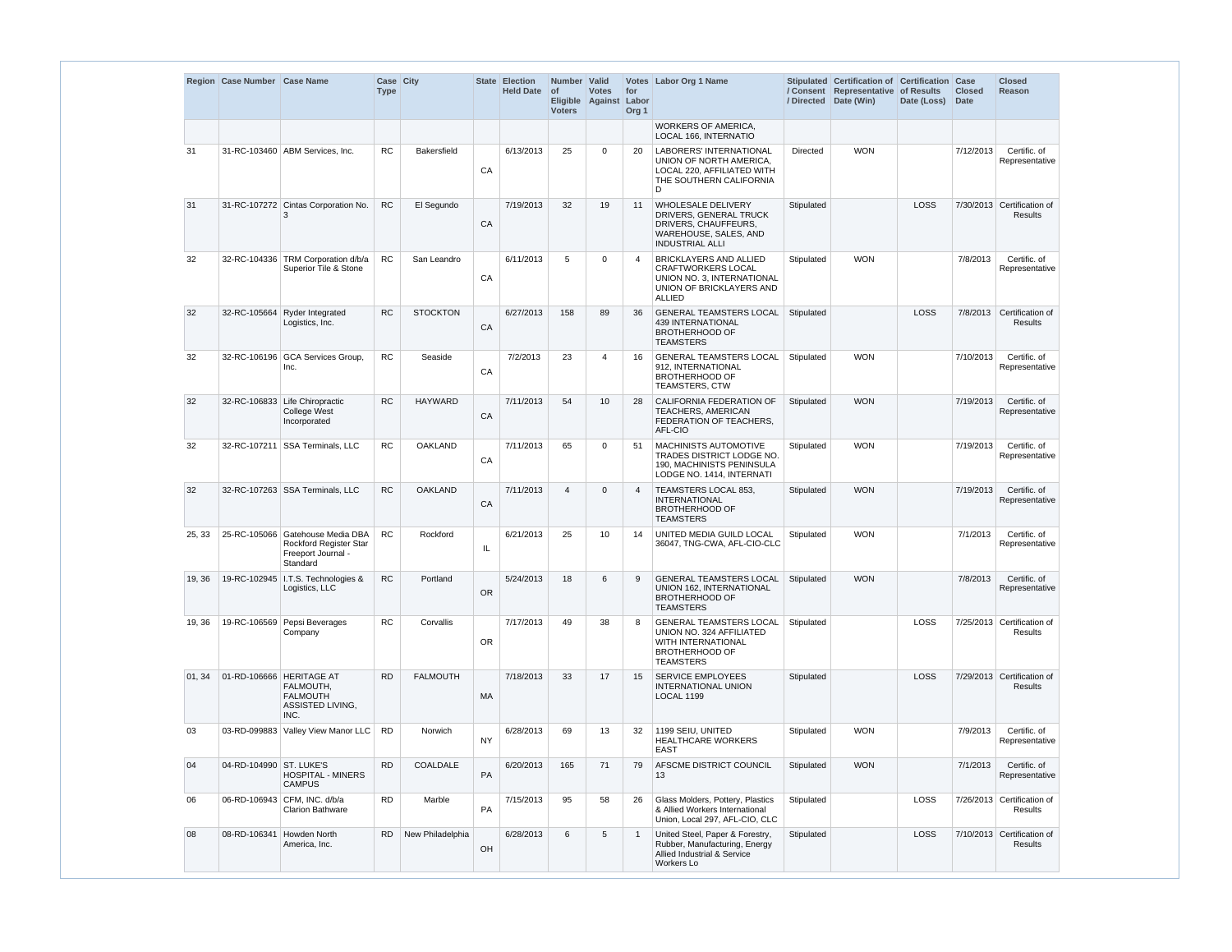|        | Region Case Number Case Name |                                                                                                     | Case City<br><b>Type</b> |                    |           | State Election<br><b>Held Date</b> | Number Valid<br><b>of</b><br><b>Voters</b> | <b>Votes</b><br>Eligible Against Labor | for<br>Org <sub>1</sub> | Votes Labor Org 1 Name                                                                                                                |            | Stipulated Certification of Certification Case<br>/ Consent Representative of Results<br>/ Directed Date (Win) | Date (Loss) | <b>Closed</b><br>Date | <b>Closed</b><br><b>Reason</b>               |
|--------|------------------------------|-----------------------------------------------------------------------------------------------------|--------------------------|--------------------|-----------|------------------------------------|--------------------------------------------|----------------------------------------|-------------------------|---------------------------------------------------------------------------------------------------------------------------------------|------------|----------------------------------------------------------------------------------------------------------------|-------------|-----------------------|----------------------------------------------|
|        |                              |                                                                                                     |                          |                    |           |                                    |                                            |                                        |                         | <b>WORKERS OF AMERICA,</b><br>LOCAL 166, INTERNATIO                                                                                   |            |                                                                                                                |             |                       |                                              |
| 31     |                              | 31-RC-103460 ABM Services, Inc.                                                                     | <b>RC</b>                | <b>Bakersfield</b> | CA        | 6/13/2013                          | 25                                         | $\mathbf 0$                            | 20                      | <b>LABORERS' INTERNATIONAL</b><br>UNION OF NORTH AMERICA,<br>LOCAL 220, AFFILIATED WITH<br>THE SOUTHERN CALIFORNIA<br>D               | Directed   | <b>WON</b>                                                                                                     |             | 7/12/2013             | Certific. of<br>Representative               |
| 31     |                              | 31-RC-107272 Cintas Corporation No.                                                                 | <b>RC</b>                | El Segundo         | CA        | 7/19/2013                          | 32                                         | 19                                     | 11                      | WHOLESALE DELIVERY<br>DRIVERS, GENERAL TRUCK<br>DRIVERS, CHAUFFEURS,<br>WAREHOUSE, SALES, AND<br><b>INDUSTRIAL ALLI</b>               | Stipulated |                                                                                                                | <b>LOSS</b> |                       | 7/30/2013 Certification of<br><b>Results</b> |
| 32     |                              | 32-RC-104336 TRM Corporation d/b/a<br>Superior Tile & Stone                                         | <b>RC</b>                | San Leandro        | CA        | 6/11/2013                          | 5                                          | 0                                      | 4                       | <b>BRICKLAYERS AND ALLIED</b><br><b>CRAFTWORKERS LOCAL</b><br>UNION NO. 3. INTERNATIONAL<br>UNION OF BRICKLAYERS AND<br><b>ALLIED</b> | Stipulated | <b>WON</b>                                                                                                     |             | 7/8/2013              | Certific. of<br>Representative               |
| 32     | 32-RC-105664                 | <b>Ryder Integrated</b><br>Logistics, Inc.                                                          | <b>RC</b>                | <b>STOCKTON</b>    | CA        | 6/27/2013                          | 158                                        | 89                                     | 36                      | <b>GENERAL TEAMSTERS LOCAL</b><br><b>439 INTERNATIONAL</b><br><b>BROTHERHOOD OF</b><br><b>TEAMSTERS</b>                               | Stipulated |                                                                                                                | <b>LOSS</b> | 7/8/2013              | Certification of<br><b>Results</b>           |
| 32     |                              | 32-RC-106196 GCA Services Group,<br>Inc.                                                            | <b>RC</b>                | Seaside            | CA        | 7/2/2013                           | 23                                         | 4                                      | 16                      | <b>GENERAL TEAMSTERS LOCAL</b><br>912, INTERNATIONAL<br><b>BROTHERHOOD OF</b><br>TEAMSTERS, CTW                                       | Stipulated | <b>WON</b>                                                                                                     |             | 7/10/2013             | Certific. of<br>Representative               |
| 32     |                              | 32-RC-106833 Life Chiropractic<br><b>College West</b><br>Incorporated                               | <b>RC</b>                | <b>HAYWARD</b>     | CA        | 7/11/2013                          | 54                                         | 10                                     | 28                      | CALIFORNIA FEDERATION OF<br>TEACHERS, AMERICAN<br>FEDERATION OF TEACHERS,<br>AFL-CIO                                                  | Stipulated | <b>WON</b>                                                                                                     |             | 7/19/2013             | Certific, of<br>Representative               |
| 32     | 32-RC-107211                 | <b>SSA Terminals, LLC</b>                                                                           | <b>RC</b>                | <b>OAKLAND</b>     | CA        | 7/11/2013                          | 65                                         | 0                                      | 51                      | MACHINISTS AUTOMOTIVE<br>TRADES DISTRICT LODGE NO.<br>190, MACHINISTS PENINSULA<br>LODGE NO. 1414, INTERNATI                          | Stipulated | <b>WON</b>                                                                                                     |             | 7/19/2013             | Certific, of<br>Representative               |
| 32     |                              | 32-RC-107263 SSA Terminals, LLC                                                                     | <b>RC</b>                | <b>OAKLAND</b>     | CA        | 7/11/2013                          | $\overline{4}$                             | $\mathbf{0}$                           | 4                       | TEAMSTERS LOCAL 853,<br><b>INTERNATIONAL</b><br><b>BROTHERHOOD OF</b><br><b>TEAMSTERS</b>                                             | Stipulated | <b>WON</b>                                                                                                     |             | 7/19/2013             | Certific, of<br>Representative               |
| 25.33  |                              | 25-RC-105066 Gatehouse Media DBA<br><b>Rockford Register Star</b><br>Freeport Journal -<br>Standard | <b>RC</b>                | Rockford           | IL        | 6/21/2013                          | 25                                         | 10                                     | 14                      | UNITED MEDIA GUILD LOCAL<br>36047, TNG-CWA, AFL-CIO-CLC                                                                               | Stipulated | <b>WON</b>                                                                                                     |             | 7/1/2013              | Certific. of<br>Representative               |
| 19, 36 |                              | 19-RC-102945   I.T.S. Technologies &<br>Logistics, LLC                                              | <b>RC</b>                | Portland           | <b>OR</b> | 5/24/2013                          | 18                                         | 6                                      | 9                       | <b>GENERAL TEAMSTERS LOCAL</b><br>UNION 162, INTERNATIONAL<br><b>BROTHERHOOD OF</b><br><b>TEAMSTERS</b>                               | Stipulated | <b>WON</b>                                                                                                     |             | 7/8/2013              | Certific. of<br>Representative               |
| 19, 36 |                              | 19-RC-106569 Pepsi Beverages<br>Company                                                             | <b>RC</b>                | Corvallis          | <b>OR</b> | 7/17/2013                          | 49                                         | 38                                     | 8                       | <b>GENERAL TEAMSTERS LOCAL</b><br>UNION NO. 324 AFFILIATED<br>WITH INTERNATIONAL<br><b>BROTHERHOOD OF</b><br><b>TEAMSTERS</b>         | Stipulated |                                                                                                                | LOSS        |                       | 7/25/2013 Certification of<br><b>Results</b> |
| 01, 34 | 01-RD-106666 HERITAGE AT     | FALMOUTH,<br><b>FALMOUTH</b><br>ASSISTED LIVING,<br>INC.                                            | <b>RD</b>                | <b>FALMOUTH</b>    | MA        | 7/18/2013                          | 33                                         | 17                                     | 15                      | <b>SERVICE EMPLOYEES</b><br><b>INTERNATIONAL UNION</b><br><b>LOCAL 1199</b>                                                           | Stipulated |                                                                                                                | <b>LOSS</b> |                       | 7/29/2013 Certification of<br><b>Results</b> |
| 03     |                              | 03-RD-099883 Valley View Manor LLC                                                                  | <b>RD</b>                | Norwich            | <b>NY</b> | 6/28/2013                          | 69                                         | 13                                     | 32                      | 1199 SEIU, UNITED<br>HEALTHCARE WORKERS<br><b>EAST</b>                                                                                | Stipulated | <b>WON</b>                                                                                                     |             | 7/9/2013              | Certific. of<br>Representative               |
| 04     | 04-RD-104990 ST. LUKE'S      | <b>HOSPITAL - MINERS</b><br><b>CAMPUS</b>                                                           | <b>RD</b>                | COALDALE           | PA        | 6/20/2013                          | 165                                        | 71                                     | 79                      | AFSCME DISTRICT COUNCIL<br>13                                                                                                         | Stipulated | <b>WON</b>                                                                                                     |             | 7/1/2013              | Certific. of<br>Representative               |
| 06     |                              | 06-RD-106943 CFM, INC. d/b/a<br><b>Clarion Bathware</b>                                             | <b>RD</b>                | Marble             | PA        | 7/15/2013                          | 95                                         | 58                                     | 26                      | Glass Molders, Pottery, Plastics<br>& Allied Workers International<br>Union, Local 297, AFL-CIO, CLC                                  | Stipulated |                                                                                                                | LOSS        |                       | 7/26/2013 Certification of<br><b>Results</b> |
| 08     | 08-RD-106341 Howden North    | America, Inc.                                                                                       | <b>RD</b>                | New Philadelphia   | OH        | 6/28/2013                          | 6                                          | $5\overline{)}$                        |                         | United Steel, Paper & Forestry,<br>Rubber, Manufacturing, Energy<br>Allied Industrial & Service<br>Workers Lo                         | Stipulated |                                                                                                                | LOSS        |                       | 7/10/2013 Certification of<br><b>Results</b> |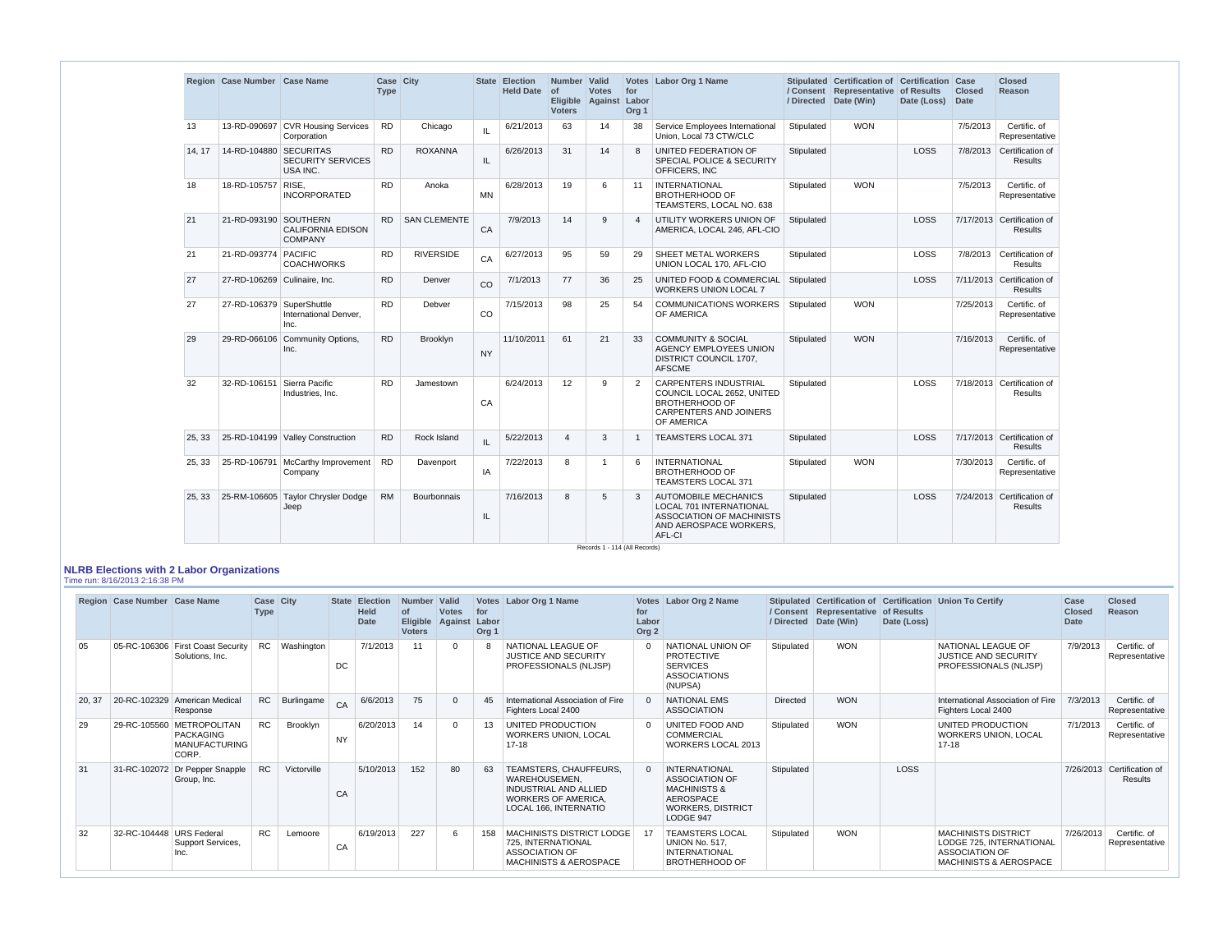|        | Region Case Number Case Name |                                                  | Case City<br><b>Type</b> |                     |               | State Election<br>Held Date of | Number Valid<br><b>Voters</b> | <b>Votes</b><br>Eligible Against Labor | for<br>Org <sub>1</sub> | Votes Labor Org 1 Name                                                                                                                |            | Stipulated Certification of Certification Case<br>/ Consent Representative of Results<br>/ Directed Date (Win) | Date (Loss) | <b>Closed</b><br>Date | <b>Closed</b><br>Reason                      |
|--------|------------------------------|--------------------------------------------------|--------------------------|---------------------|---------------|--------------------------------|-------------------------------|----------------------------------------|-------------------------|---------------------------------------------------------------------------------------------------------------------------------------|------------|----------------------------------------------------------------------------------------------------------------|-------------|-----------------------|----------------------------------------------|
| 13     |                              | 13-RD-090697 CVR Housing Services<br>Corporation | <b>RD</b>                | Chicago             | IL            | 6/21/2013                      | 63                            | 14                                     | 38                      | Service Employees International<br>Union, Local 73 CTW/CLC                                                                            | Stipulated | <b>WON</b>                                                                                                     |             | 7/5/2013              | Certific. of<br>Representative               |
| 14, 17 | 14-RD-104880 SECURITAS       | <b>SECURITY SERVICES</b><br>USA INC.             | <b>RD</b>                | <b>ROXANNA</b>      | IL.           | 6/26/2013                      | 31                            | 14                                     | 8                       | UNITED FEDERATION OF<br><b>SPECIAL POLICE &amp; SECURITY</b><br><b>OFFICERS, INC</b>                                                  | Stipulated |                                                                                                                | <b>LOSS</b> |                       | 7/8/2013 Certification of<br><b>Results</b>  |
| 18     | 18-RD-105757 RISE,           | <b>INCORPORATED</b>                              | <b>RD</b>                | Anoka               | <b>MN</b>     | 6/28/2013                      | 19                            | 6                                      | 11                      | <b>INTERNATIONAL</b><br><b>BROTHERHOOD OF</b><br>TEAMSTERS, LOCAL NO. 638                                                             | Stipulated | <b>WON</b>                                                                                                     |             | 7/5/2013              | Certific. of<br>Representative               |
| 21     | 21-RD-093190 SOUTHERN        | <b>CALIFORNIA EDISON</b><br><b>COMPANY</b>       | <b>RD</b>                | <b>SAN CLEMENTE</b> | CA            | 7/9/2013                       | 14                            | 9                                      | $\overline{4}$          | UTILITY WORKERS UNION OF<br>AMERICA, LOCAL 246, AFL-CIO                                                                               | Stipulated |                                                                                                                | <b>LOSS</b> |                       | 7/17/2013 Certification of<br>Results        |
| 21     | 21-RD-093774 PACIFIC         | <b>COACHWORKS</b>                                | <b>RD</b>                | <b>RIVERSIDE</b>    | CA            | 6/27/2013                      | 95                            | 59                                     | 29                      | SHEET METAL WORKERS<br>UNION LOCAL 170, AFL-CIO                                                                                       | Stipulated |                                                                                                                | <b>LOSS</b> |                       | 7/8/2013 Certification of<br>Results         |
| 27     | 27-RD-106269 Culinaire, Inc. |                                                  | <b>RD</b>                | Denver              | CO            | 7/1/2013                       | 77                            | 36                                     | 25                      | UNITED FOOD & COMMERCIAL<br><b>WORKERS UNION LOCAL 7</b>                                                                              | Stipulated |                                                                                                                | <b>LOSS</b> |                       | 7/11/2013 Certification of<br><b>Results</b> |
| 27     | 27-RD-106379 SuperShuttle    | International Denver.<br>Inc.                    | <b>RD</b>                | Debver              | <sub>CO</sub> | 7/15/2013                      | 98                            | 25                                     | 54                      | <b>COMMUNICATIONS WORKERS</b><br><b>OF AMERICA</b>                                                                                    | Stipulated | <b>WON</b>                                                                                                     |             | 7/25/2013             | Certific. of<br>Representative               |
| 29     |                              | 29-RD-066106 Community Options,<br>Inc.          | <b>RD</b>                | <b>Brooklyn</b>     | <b>NY</b>     | 11/10/2011                     | 61                            | 21                                     | 33                      | <b>COMMUNITY &amp; SOCIAL</b><br>AGENCY EMPLOYEES UNION<br>DISTRICT COUNCIL 1707,<br><b>AFSCME</b>                                    | Stipulated | <b>WON</b>                                                                                                     |             | 7/16/2013             | Certific, of<br>Representative               |
| 32     | 32-RD-106151 Sierra Pacific  | Industries, Inc.                                 | <b>RD</b>                | Jamestown           | CA            | 6/24/2013                      | 12                            | 9                                      | 2                       | <b>CARPENTERS INDUSTRIAL</b><br>COUNCIL LOCAL 2652, UNITED<br><b>BROTHERHOOD OF</b><br><b>CARPENTERS AND JOINERS</b><br>OF AMERICA    | Stipulated |                                                                                                                | <b>LOSS</b> |                       | 7/18/2013 Certification of<br>Results        |
| 25.33  |                              | 25-RD-104199 Valley Construction                 | <b>RD</b>                | Rock Island         | IL.           | 5/22/2013                      | $\overline{4}$                | 3                                      | -1                      | <b>TEAMSTERS LOCAL 371</b>                                                                                                            | Stipulated |                                                                                                                | <b>LOSS</b> |                       | 7/17/2013 Certification of<br><b>Results</b> |
| 25, 33 |                              | 25-RD-106791 McCarthy Improvement<br>Company     | <b>RD</b>                | Davenport           | IA            | 7/22/2013                      | 8                             | -1                                     | 6                       | <b>INTERNATIONAL</b><br><b>BROTHERHOOD OF</b><br><b>TEAMSTERS LOCAL 371</b>                                                           | Stipulated | <b>WON</b>                                                                                                     |             | 7/30/2013             | Certific. of<br>Representative               |
| 25, 33 |                              | 25-RM-106605 Taylor Chrysler Dodge<br>Jeep       | <b>RM</b>                | <b>Bourbonnais</b>  | IL            | 7/16/2013                      | 8                             | 5                                      | 3                       | <b>AUTOMOBILE MECHANICS</b><br><b>LOCAL 701 INTERNATIONAL</b><br><b>ASSOCIATION OF MACHINISTS</b><br>AND AEROSPACE WORKERS,<br>AFL-CI | Stipulated |                                                                                                                | <b>LOSS</b> |                       | 7/24/2013 Certification of<br>Results        |

#### **NLRB Elections with 2 Labor Organizations** Time run: 8/16/2013 2:16:38 PM

|        | Region Case Number Case Name |                                                                         | Case City<br><b>Type</b> |             |           | State Election<br><b>Held</b><br><b>Date</b> | Number Valid<br><b>of</b><br><b>Eligible</b><br><b>Voters</b> | <b>Votes</b><br>Against | for<br>Labor<br>Org <sub>1</sub> | Votes Labor Org 1 Name                                                                                                         | for<br>Labor<br>Org <sub>2</sub> | Votes Labor Org 2 Name                                                                                                                |            | / Consent   Representative   of Results<br>/ Directed   Date (Win) | Date (Loss) | Stipulated Certification of Certification Union To Certify                                                    | Case<br><b>Closed</b><br><b>Date</b> | <b>Closed</b><br>Reason               |
|--------|------------------------------|-------------------------------------------------------------------------|--------------------------|-------------|-----------|----------------------------------------------|---------------------------------------------------------------|-------------------------|----------------------------------|--------------------------------------------------------------------------------------------------------------------------------|----------------------------------|---------------------------------------------------------------------------------------------------------------------------------------|------------|--------------------------------------------------------------------|-------------|---------------------------------------------------------------------------------------------------------------|--------------------------------------|---------------------------------------|
| 05     |                              | 05-RC-106306 First Coast Security<br>Solutions, Inc.                    | <b>RC</b>                | Washington  | <b>DC</b> | 7/1/2013                                     | 11                                                            | $\overline{0}$          |                                  | NATIONAL LEAGUE OF<br><b>JUSTICE AND SECURITY</b><br>PROFESSIONALS (NLJSP)                                                     |                                  | NATIONAL UNION OF<br><b>PROTECTIVE</b><br><b>SERVICES</b><br><b>ASSOCIATIONS</b><br>(NUPSA)                                           | Stipulated | <b>WON</b>                                                         |             | NATIONAL LEAGUE OF<br><b>JUSTICE AND SECURITY</b><br>PROFESSIONALS (NLJSP)                                    | 7/9/2013                             | Certific, of<br>Representative        |
| 20, 37 | 20-RC-102329                 | <b>American Medical</b><br>Response                                     | <b>RC</b>                | Burlingame  | CA        | 6/6/2013                                     | 75                                                            | $\overline{0}$          | 45                               | International Association of Fire<br>Fighters Local 2400                                                                       |                                  | <b>NATIONAL EMS</b><br><b>ASSOCIATION</b>                                                                                             | Directed   | <b>WON</b>                                                         |             | International Association of Fire<br>Fighters Local 2400                                                      | 7/3/2013                             | Certific, of<br>Representative        |
| 29     |                              | 29-RC-105560 METROPOLITAN<br>PACKAGING<br><b>MANUFACTURING</b><br>CORP. | <b>RC</b>                | Brooklyn    | <b>NY</b> | 6/20/2013                                    | 14                                                            | $\mathbf 0$             | 13                               | UNITED PRODUCTION<br><b>WORKERS UNION, LOCAL</b><br>$17 - 18$                                                                  | $\Omega$                         | UNITED FOOD AND<br>COMMERCIAL<br><b>WORKERS LOCAL 2013</b>                                                                            | Stipulated | <b>WON</b>                                                         |             | UNITED PRODUCTION<br><b>WORKERS UNION, LOCAL</b><br>$17 - 18$                                                 | 7/1/2013                             | Certific. of<br>Representative        |
| 31     |                              | 31-RC-102072 Dr Pepper Snapple<br>Group, Inc.                           | <b>RC</b>                | Victorville | CA        | 5/10/2013                                    | 152                                                           | 80                      | 63                               | TEAMSTERS, CHAUFFEURS,<br>WAREHOUSEMEN.<br><b>INDUSTRIAL AND ALLIED</b><br><b>WORKERS OF AMERICA.</b><br>LOCAL 166, INTERNATIO |                                  | <b>INTERNATIONAL</b><br><b>ASSOCIATION OF</b><br><b>MACHINISTS &amp;</b><br><b>AEROSPACE</b><br><b>WORKERS, DISTRICT</b><br>LODGE 947 | Stipulated |                                                                    | <b>LOSS</b> |                                                                                                               |                                      | 7/26/2013 Certification of<br>Results |
| 32     | 32-RC-104448 URS Federal     | Support Services,<br>Inc.                                               | <b>RC</b>                | Lemoore     | CA        | 6/19/2013                                    | 227                                                           | 6                       | 158                              | <b>MACHINISTS DISTRICT LODGE</b><br>725, INTERNATIONAL<br><b>ASSOCIATION OF</b><br><b>MACHINISTS &amp; AEROSPACE</b>           |                                  | <b>TEAMSTERS LOCAL</b><br>UNION No. 517.<br><b>INTERNATIONAL</b><br><b>BROTHERHOOD OF</b>                                             | Stipulated | <b>WON</b>                                                         |             | <b>MACHINISTS DISTRICT</b><br>LODGE 725, INTERNATIONAL<br>ASSOCIATION OF<br><b>MACHINISTS &amp; AEROSPACE</b> | 7/26/2013                            | Certific. of<br>Representative        |